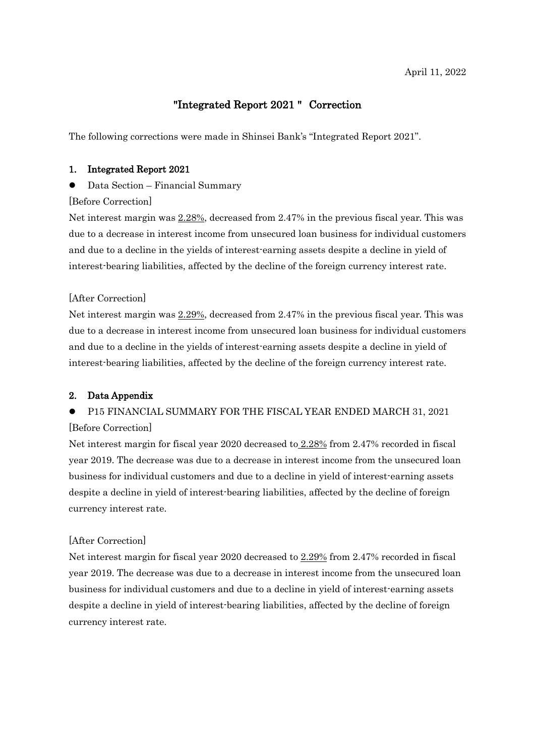# "Integrated Report 2021 " Correction

The following corrections were made in Shinsei Bank's "Integrated Report 2021".

### 1. Integrated Report 2021

Data Section – Financial Summary

# [Before Correction]

Net interest margin was 2.28%, decreased from 2.47% in the previous fiscal year. This was due to a decrease in interest income from unsecured loan business for individual customers and due to a decline in the yields of interest-earning assets despite a decline in yield of interest-bearing liabilities, affected by the decline of the foreign currency interest rate.

# [After Correction]

Net interest margin was 2.29%, decreased from 2.47% in the previous fiscal year. This was due to a decrease in interest income from unsecured loan business for individual customers and due to a decline in the yields of interest-earning assets despite a decline in yield of interest-bearing liabilities, affected by the decline of the foreign currency interest rate.

# 2. Data Appendix

# P15 FINANCIAL SUMMARY FOR THE FISCAL YEAR ENDED MARCH 31, 2021 [Before Correction]

Net interest margin for fiscal year 2020 decreased to 2.28% from 2.47% recorded in fiscal year 2019. The decrease was due to a decrease in interest income from the unsecured loan business for individual customers and due to a decline in yield of interest-earning assets despite a decline in yield of interest-bearing liabilities, affected by the decline of foreign currency interest rate.

#### [After Correction]

Net interest margin for fiscal year 2020 decreased to 2.29% from 2.47% recorded in fiscal year 2019. The decrease was due to a decrease in interest income from the unsecured loan business for individual customers and due to a decline in yield of interest-earning assets despite a decline in yield of interest-bearing liabilities, affected by the decline of foreign currency interest rate.